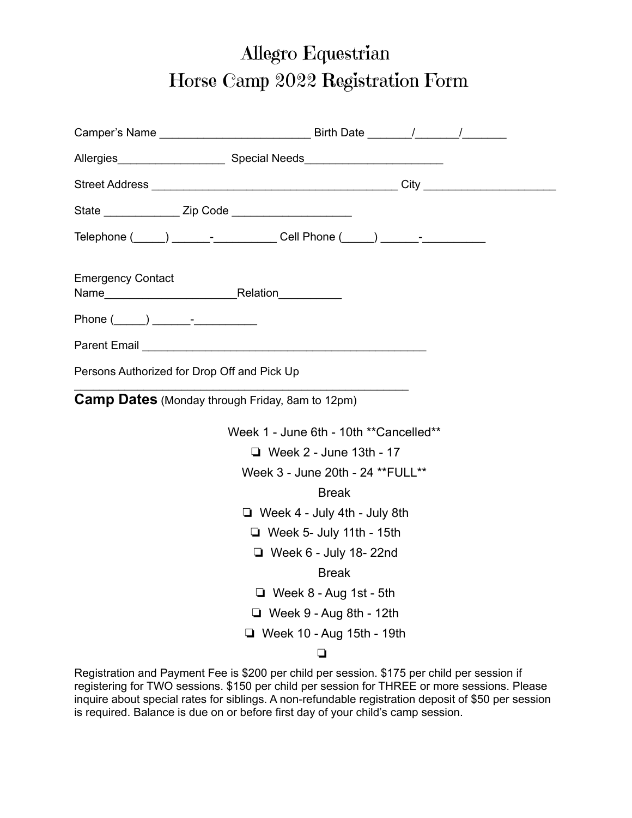## Allegro Equestrian Horse Camp 2022 Registration Form

| State __________________ Zip Code _______________________ |                                                                                                                                                                                                                               |
|-----------------------------------------------------------|-------------------------------------------------------------------------------------------------------------------------------------------------------------------------------------------------------------------------------|
|                                                           | Telephone (_____) _______-_______________Cell Phone (_____) _______-____________                                                                                                                                              |
| <b>Emergency Contact</b>                                  |                                                                                                                                                                                                                               |
|                                                           |                                                                                                                                                                                                                               |
|                                                           | Parent Email and the contract of the contract of the contract of the contract of the contract of the contract of the contract of the contract of the contract of the contract of the contract of the contract of the contract |
| Persons Authorized for Drop Off and Pick Up               |                                                                                                                                                                                                                               |
| <b>Camp Dates</b> (Monday through Friday, 8am to 12pm)    |                                                                                                                                                                                                                               |
|                                                           | Week 1 - June 6th - 10th **Cancelled**                                                                                                                                                                                        |
|                                                           | □ Week 2 - June 13th - 17                                                                                                                                                                                                     |
|                                                           | Week 3 - June 20th - 24 ** FULL **                                                                                                                                                                                            |
|                                                           | <b>Break</b>                                                                                                                                                                                                                  |
|                                                           | $\Box$ Week 4 - July 4th - July 8th                                                                                                                                                                                           |
|                                                           | $\Box$ Week 5- July 11th - 15th                                                                                                                                                                                               |
|                                                           | $\Box$ Week 6 - July 18-22nd                                                                                                                                                                                                  |
|                                                           | <b>Break</b>                                                                                                                                                                                                                  |
|                                                           | $\Box$ Week 8 - Aug 1st - 5th                                                                                                                                                                                                 |
|                                                           | $\Box$ Week 9 - Aug 8th - 12th                                                                                                                                                                                                |
|                                                           | $\Box$ Week 10 - Aug 15th - 19th                                                                                                                                                                                              |
|                                                           | $\Box$                                                                                                                                                                                                                        |

Registration and Payment Fee is \$200 per child per session. \$175 per child per session if registering for TWO sessions. \$150 per child per session for THREE or more sessions. Please inquire about special rates for siblings. A non-refundable registration deposit of \$50 per session is required. Balance is due on or before first day of your child's camp session.